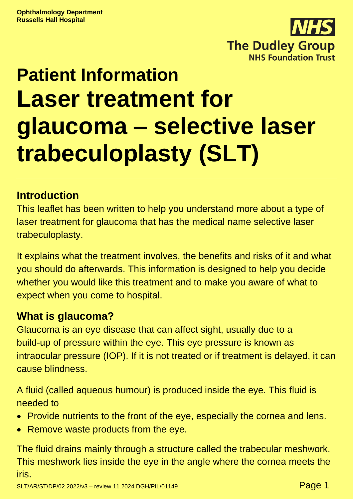

# **Patient Information Laser treatment for glaucoma – selective laser trabeculoplasty (SLT)**

# **Introduction**

This leaflet has been written to help you understand more about a type of laser treatment for glaucoma that has the medical name selective laser trabeculoplasty.

It explains what the treatment involves, the benefits and risks of it and what you should do afterwards. This information is designed to help you decide whether you would like this treatment and to make you aware of what to expect when you come to hospital.

# **What is glaucoma?**

Glaucoma is an eye disease that can affect sight, usually due to a build-up of pressure within the eye. This eye pressure is known as intraocular pressure (IOP). If it is not treated or if treatment is delayed, it can cause blindness.

A fluid (called aqueous humour) is produced inside the eye. This fluid is needed to

- Provide nutrients to the front of the eye, especially the cornea and lens.
- Remove waste products from the eye.

The fluid drains mainly through a structure called the trabecular meshwork. This meshwork lies inside the eye in the angle where the cornea meets the iris.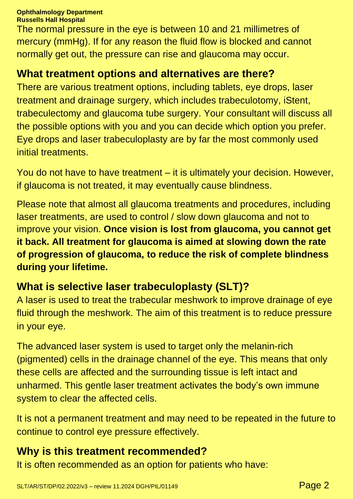#### **Ophthalmology Department**

**Russells Hall Hospital**

The normal pressure in the eye is between 10 and 21 millimetres of mercury (mmHg). If for any reason the fluid flow is blocked and cannot normally get out, the pressure can rise and glaucoma may occur.

#### **What treatment options and alternatives are there?**

There are various treatment options, including tablets, eye drops, laser treatment and drainage surgery, which includes trabeculotomy, iStent, trabeculectomy and glaucoma tube surgery. Your consultant will discuss all the possible options with you and you can decide which option you prefer. Eye drops and laser trabeculoplasty are by far the most commonly used initial treatments.

You do not have to have treatment – it is ultimately your decision. However, if glaucoma is not treated, it may eventually cause blindness.

Please note that almost all glaucoma treatments and procedures, including laser treatments, are used to control / slow down glaucoma and not to improve your vision. **Once vision is lost from glaucoma, you cannot get it back. All treatment for glaucoma is aimed at slowing down the rate of progression of glaucoma, to reduce the risk of complete blindness during your lifetime.**

# **What is selective laser trabeculoplasty (SLT)?**

A laser is used to treat the trabecular meshwork to improve drainage of eye fluid through the meshwork. The aim of this treatment is to reduce pressure in your eye.

The advanced laser system is used to target only the melanin-rich (pigmented) cells in the drainage channel of the eye. This means that only these cells are affected and the surrounding tissue is left intact and unharmed. This gentle laser treatment activates the body's own immune system to clear the affected cells.

It is not a permanent treatment and may need to be repeated in the future to continue to control eye pressure effectively.

### **Why is this treatment recommended?**

It is often recommended as an option for patients who have: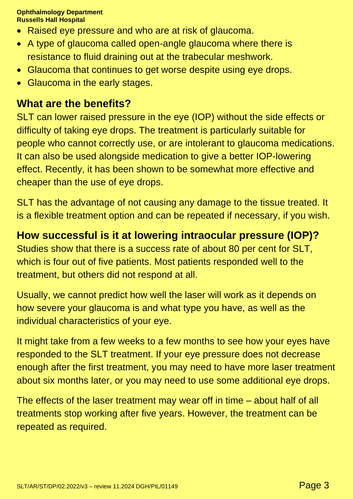- Raised eye pressure and who are at risk of glaucoma.
- A type of glaucoma called open-angle glaucoma where there is resistance to fluid draining out at the trabecular meshwork.
- Glaucoma that continues to get worse despite using eye drops.
- Glaucoma in the early stages.

#### **What are the benefits?**

SLT can lower raised pressure in the eye (IOP) without the side effects or difficulty of taking eye drops. The treatment is particularly suitable for people who cannot correctly use, or are intolerant to glaucoma medications. It can also be used alongside medication to give a better IOP-lowering effect. Recently, it has been shown to be somewhat more effective and cheaper than the use of eye drops.

SLT has the advantage of not causing any damage to the tissue treated. It is a flexible treatment option and can be repeated if necessary, if you wish.

# **How successful is it at lowering intraocular pressure (IOP)?**

Studies show that there is a success rate of about 80 per cent for SLT, which is four out of five patients. Most patients responded well to the treatment, but others did not respond at all.

Usually, we cannot predict how well the laser will work as it depends on how severe your glaucoma is and what type you have, as well as the individual characteristics of your eye.

It might take from a few weeks to a few months to see how your eyes have responded to the SLT treatment. If your eye pressure does not decrease enough after the first treatment, you may need to have more laser treatment about six months later, or you may need to use some additional eye drops.

The effects of the laser treatment may wear off in time – about half of all treatments stop working after five years. However, the treatment can be repeated as required.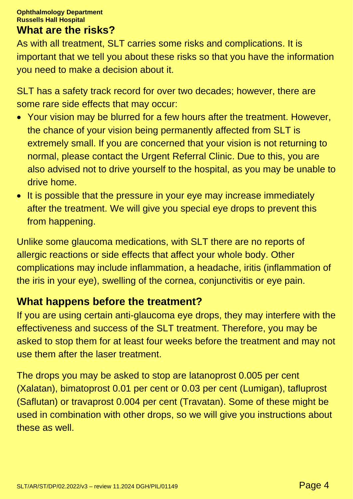#### **What are the risks?**

As with all treatment, SLT carries some risks and complications. It is important that we tell you about these risks so that you have the information you need to make a decision about it.

SLT has a safety track record for over two decades; however, there are some rare side effects that may occur:

- Your vision may be blurred for a few hours after the treatment. However, the chance of your vision being permanently affected from SLT is extremely small. If you are concerned that your vision is not returning to normal, please contact the Urgent Referral Clinic. Due to this, you are also advised not to drive yourself to the hospital, as you may be unable to drive home.
- It is possible that the pressure in your eye may increase immediately after the treatment. We will give you special eye drops to prevent this from happening.

Unlike some glaucoma medications, with SLT there are no reports of allergic reactions or side effects that affect your whole body. Other complications may include inflammation, a headache, iritis (inflammation of the iris in your eye), swelling of the cornea, conjunctivitis or eye pain.

### **What happens before the treatment?**

If you are using certain anti-glaucoma eye drops, they may interfere with the effectiveness and success of the SLT treatment. Therefore, you may be asked to stop them for at least four weeks before the treatment and may not use them after the laser treatment.

The drops you may be asked to stop are latanoprost 0.005 per cent (Xalatan), bimatoprost 0.01 per cent or 0.03 per cent (Lumigan), tafluprost (Saflutan) or travaprost 0.004 per cent (Travatan). Some of these might be used in combination with other drops, so we will give you instructions about these as well.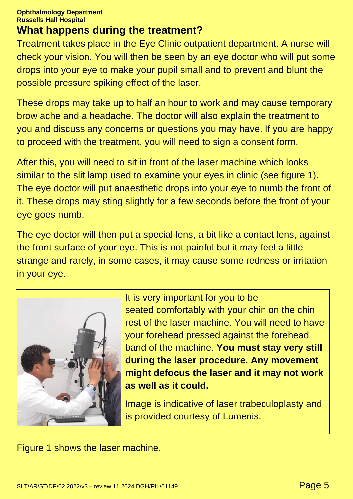## **What happens during the treatment?**

Treatment takes place in the Eye Clinic outpatient department. A nurse will check your vision. You will then be seen by an eye doctor who will put some drops into your eye to make your pupil small and to prevent and blunt the possible pressure spiking effect of the laser.

These drops may take up to half an hour to work and may cause temporary brow ache and a headache. The doctor will also explain the treatment to you and discuss any concerns or questions you may have. If you are happy to proceed with the treatment, you will need to sign a consent form.

After this, you will need to sit in front of the laser machine which looks similar to the slit lamp used to examine your eyes in clinic (see figure 1). The eye doctor will put anaesthetic drops into your eye to numb the front of it. These drops may sting slightly for a few seconds before the front of your eye goes numb.

The eye doctor will then put a special lens, a bit like a contact lens, against the front surface of your eye. This is not painful but it may feel a little strange and rarely, in some cases, it may cause some redness or irritation in your eye.



It is very important for you to be seated comfortably with your chin on the chin rest of the laser machine. You will need to have your forehead pressed against the forehead band of the machine. **You must stay very still during the laser procedure. Any movement might defocus the laser and it may not work as well as it could.**

Image is indicative of laser trabeculoplasty and is provided courtesy of Lumenis.

Figure 1 shows the laser machine.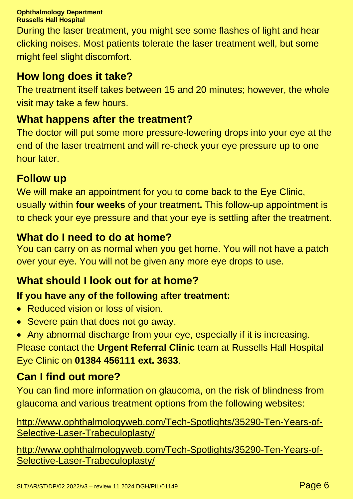During the laser treatment, you might see some flashes of light and hear clicking noises. Most patients tolerate the laser treatment well, but some might feel slight discomfort.

# **How long does it take?**

The treatment itself takes between 15 and 20 minutes; however, the whole visit may take a few hours.

# **What happens after the treatment?**

The doctor will put some more pressure-lowering drops into your eye at the end of the laser treatment and will re-check your eye pressure up to one hour later.

# **Follow up**

We will make an appointment for you to come back to the Eye Clinic, usually within **four weeks** of your treatment**.** This follow-up appointment is to check your eye pressure and that your eye is settling after the treatment.

# **What do I need to do at home?**

You can carry on as normal when you get home. You will not have a patch over your eye. You will not be given any more eye drops to use.

# **What should I look out for at home?**

# **If you have any of the following after treatment:**

- Reduced vision or loss of vision.
- Severe pain that does not go away.
- Any abnormal discharge from your eye, especially if it is increasing. Please contact the **Urgent Referral Clinic** team at Russells Hall Hospital Eye Clinic on **01384 456111 ext. 3633**.

# **Can I find out more?**

You can find more information on glaucoma, on the risk of blindness from glaucoma and various treatment options from the following websites:

[http://www.ophthalmologyweb.com/Tech-Spotlights/35290-Ten-Years-of-](http://www.ophthalmologyweb.com/Tech-Spotlights/35290-Ten-Years-of-Selective-Laser-Trabeculoplasty/)[Selective-Laser-Trabeculoplasty/](http://www.ophthalmologyweb.com/Tech-Spotlights/35290-Ten-Years-of-Selective-Laser-Trabeculoplasty/)

[http://www.ophthalmologyweb.com/Tech-Spotlights/35290-Ten-Years-of-](http://www.ophthalmologyweb.com/Tech-Spotlights/35290-Ten-Years-of-Selective-Laser-Trabeculoplasty/)[Selective-Laser-Trabeculoplasty/](http://www.ophthalmologyweb.com/Tech-Spotlights/35290-Ten-Years-of-Selective-Laser-Trabeculoplasty/)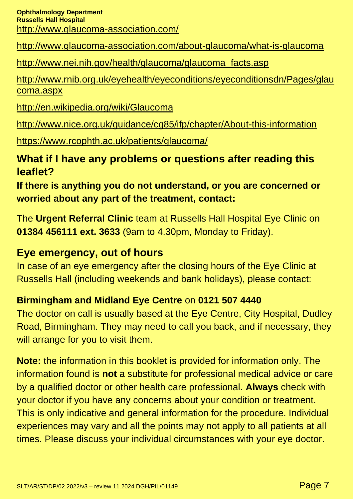<http://www.glaucoma-association.com/about-glaucoma/what-is-glaucoma>

#### [http://www.nei.nih.gov/health/glaucoma/glaucoma\\_facts.asp](http://www.nei.nih.gov/health/glaucoma/glaucoma_facts.asp)

[http://www.rnib.org.uk/eyehealth/eyeconditions/eyeconditionsdn/Pages/glau](http://www.rnib.org.uk/eyehealth/eyeconditions/eyeconditionsdn/Pages/glaucoma.aspx) [coma.aspx](http://www.rnib.org.uk/eyehealth/eyeconditions/eyeconditionsdn/Pages/glaucoma.aspx)

<http://en.wikipedia.org/wiki/Glaucoma>

<http://www.nice.org.uk/guidance/cg85/ifp/chapter/About-this-information>

<https://www.rcophth.ac.uk/patients/glaucoma/>

# **What if I have any problems or questions after reading this leaflet?**

**If there is anything you do not understand, or you are concerned or worried about any part of the treatment, contact:**

The **Urgent Referral Clinic** team at Russells Hall Hospital Eye Clinic on **01384 456111 ext. 3633** (9am to 4.30pm, Monday to Friday).

# **Eye emergency, out of hours**

In case of an eye emergency after the closing hours of the Eye Clinic at Russells Hall (including weekends and bank holidays), please contact:

### **Birmingham and Midland Eye Centre** on **0121 507 4440**

The doctor on call is usually based at the Eye Centre, City Hospital, Dudley Road, Birmingham. They may need to call you back, and if necessary, they will arrange for you to visit them.

**Note:** the information in this booklet is provided for information only. The information found is **not** a substitute for professional medical advice or care by a qualified doctor or other health care professional. **Always** check with your doctor if you have any concerns about your condition or treatment. This is only indicative and general information for the procedure. Individual experiences may vary and all the points may not apply to all patients at all times. Please discuss your individual circumstances with your eye doctor.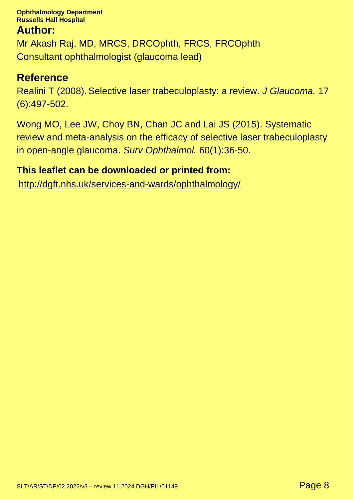#### **Author:**

Mr Akash Raj, MD, MRCS, DRCOphth, FRCS, FRCOphth Consultant ophthalmologist (glaucoma lead)

#### **Reference**

Realini T (2008). Selective laser trabeculoplasty: a review. *J Glaucoma.* 17 (6):497-502.

Wong MO, Lee JW, Choy BN, Chan JC and Lai JS (2015). Systematic review and meta-analysis on the efficacy of selective laser trabeculoplasty in open-angle glaucoma. *Surv Ophthalmol.* 60(1):36-50.

#### **This leaflet can be downloaded or printed from:**

<http://dgft.nhs.uk/services-and-wards/ophthalmology/>